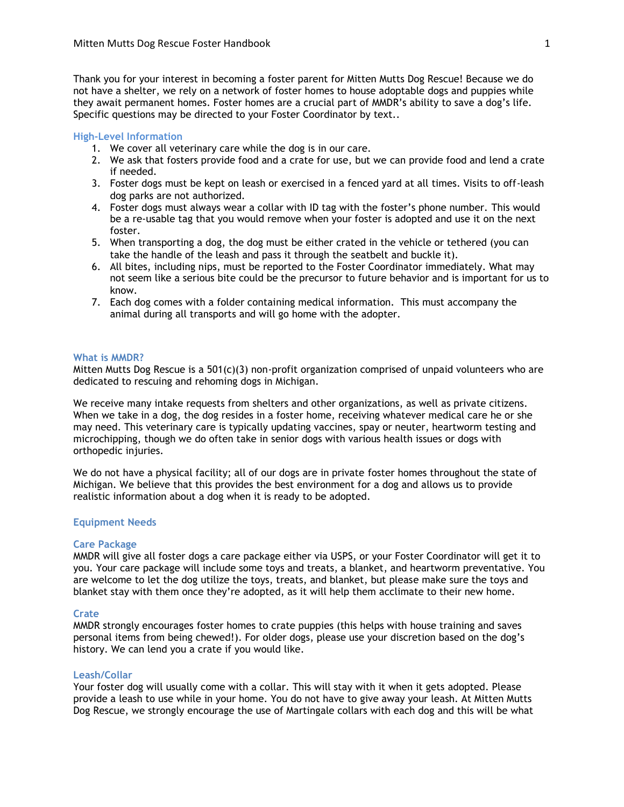Thank you for your interest in becoming a foster parent for Mitten Mutts Dog Rescue! Because we do not have a shelter, we rely on a network of foster homes to house adoptable dogs and puppies while they await permanent homes. Foster homes are a crucial part of MMDR's ability to save a dog's life. Specific questions may be directed to your Foster Coordinator by text..

# **High-Level Information**

- 1. We cover all veterinary care while the dog is in our care.
- 2. We ask that fosters provide food and a crate for use, but we can provide food and lend a crate if needed.
- 3. Foster dogs must be kept on leash or exercised in a fenced yard at all times. Visits to off-leash dog parks are not authorized.
- 4. Foster dogs must always wear a collar with ID tag with the foster's phone number. This would be a re-usable tag that you would remove when your foster is adopted and use it on the next foster.
- 5. When transporting a dog, the dog must be either crated in the vehicle or tethered (you can take the handle of the leash and pass it through the seatbelt and buckle it).
- 6. All bites, including nips, must be reported to the Foster Coordinator immediately. What may not seem like a serious bite could be the precursor to future behavior and is important for us to know.
- 7. Each dog comes with a folder containing medical information. This must accompany the animal during all transports and will go home with the adopter.

## **What is MMDR?**

Mitten Mutts Dog Rescue is a 501(c)(3) non-profit organization comprised of unpaid volunteers who are dedicated to rescuing and rehoming dogs in Michigan.

We receive many intake requests from shelters and other organizations, as well as private citizens. When we take in a dog, the dog resides in a foster home, receiving whatever medical care he or she may need. This veterinary care is typically updating vaccines, spay or neuter, heartworm testing and microchipping, though we do often take in senior dogs with various health issues or dogs with orthopedic injuries.

We do not have a physical facility; all of our dogs are in private foster homes throughout the state of Michigan. We believe that this provides the best environment for a dog and allows us to provide realistic information about a dog when it is ready to be adopted.

## **Equipment Needs**

# **Care Package**

MMDR will give all foster dogs a care package either via USPS, or your Foster Coordinator will get it to you. Your care package will include some toys and treats, a blanket, and heartworm preventative. You are welcome to let the dog utilize the toys, treats, and blanket, but please make sure the toys and blanket stay with them once they're adopted, as it will help them acclimate to their new home.

## **Crate**

MMDR strongly encourages foster homes to crate puppies (this helps with house training and saves personal items from being chewed!). For older dogs, please use your discretion based on the dog's history. We can lend you a crate if you would like.

# **Leash/Collar**

Your foster dog will usually come with a collar. This will stay with it when it gets adopted. Please provide a leash to use while in your home. You do not have to give away your leash. At Mitten Mutts Dog Rescue, we strongly encourage the use of Martingale collars with each dog and this will be what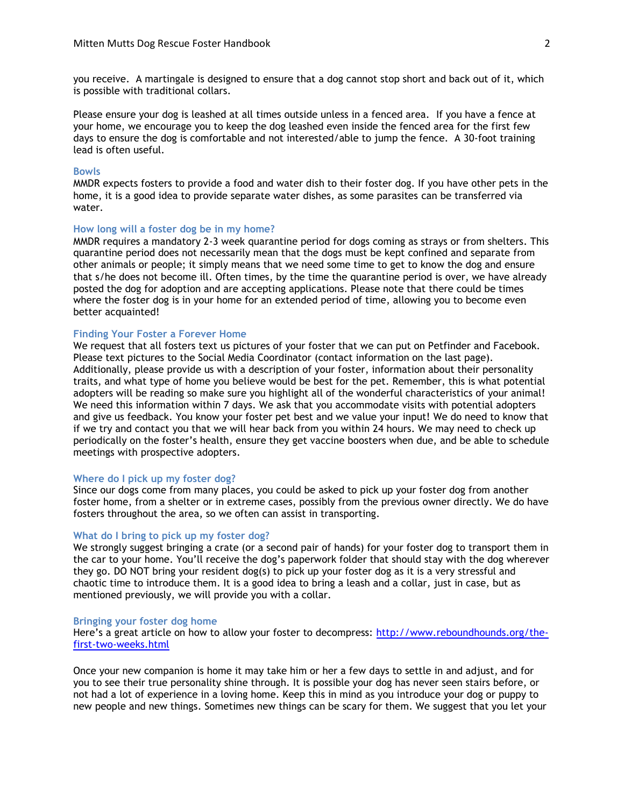you receive. A martingale is designed to ensure that a dog cannot stop short and back out of it, which is possible with traditional collars.

Please ensure your dog is leashed at all times outside unless in a fenced area. If you have a fence at your home, we encourage you to keep the dog leashed even inside the fenced area for the first few days to ensure the dog is comfortable and not interested/able to jump the fence. A 30-foot training lead is often useful.

#### **Bowls**

MMDR expects fosters to provide a food and water dish to their foster dog. If you have other pets in the home, it is a good idea to provide separate water dishes, as some parasites can be transferred via water.

## **How long will a foster dog be in my home?**

MMDR requires a mandatory 2-3 week quarantine period for dogs coming as strays or from shelters. This quarantine period does not necessarily mean that the dogs must be kept confined and separate from other animals or people; it simply means that we need some time to get to know the dog and ensure that s/he does not become ill. Often times, by the time the quarantine period is over, we have already posted the dog for adoption and are accepting applications. Please note that there could be times where the foster dog is in your home for an extended period of time, allowing you to become even better acquainted!

## **Finding Your Foster a Forever Home**

We request that all fosters text us pictures of your foster that we can put on Petfinder and Facebook. Please text pictures to the Social Media Coordinator (contact information on the last page). Additionally, please provide us with a description of your foster, information about their personality traits, and what type of home you believe would be best for the pet. Remember, this is what potential adopters will be reading so make sure you highlight all of the wonderful characteristics of your animal! We need this information within 7 days. We ask that you accommodate visits with potential adopters and give us feedback. You know your foster pet best and we value your input! We do need to know that if we try and contact you that we will hear back from you within 24 hours. We may need to check up periodically on the foster's health, ensure they get vaccine boosters when due, and be able to schedule meetings with prospective adopters.

#### **Where do I pick up my foster dog?**

Since our dogs come from many places, you could be asked to pick up your foster dog from another foster home, from a shelter or in extreme cases, possibly from the previous owner directly. We do have fosters throughout the area, so we often can assist in transporting.

# **What do I bring to pick up my foster dog?**

We strongly suggest bringing a crate (or a second pair of hands) for your foster dog to transport them in the car to your home. You'll receive the dog's paperwork folder that should stay with the dog wherever they go. DO NOT bring your resident dog(s) to pick up your foster dog as it is a very stressful and chaotic time to introduce them. It is a good idea to bring a leash and a collar, just in case, but as mentioned previously, we will provide you with a collar.

#### **Bringing your foster dog home**

Here's a great article on how to allow your foster to decompress: [http://www.reboundhounds.org/the](http://www.reboundhounds.org/the-first-two-weeks.html)[first-two-weeks.html](http://www.reboundhounds.org/the-first-two-weeks.html)

Once your new companion is home it may take him or her a few days to settle in and adjust, and for you to see their true personality shine through. It is possible your dog has never seen stairs before, or not had a lot of experience in a loving home. Keep this in mind as you introduce your dog or puppy to new people and new things. Sometimes new things can be scary for them. We suggest that you let your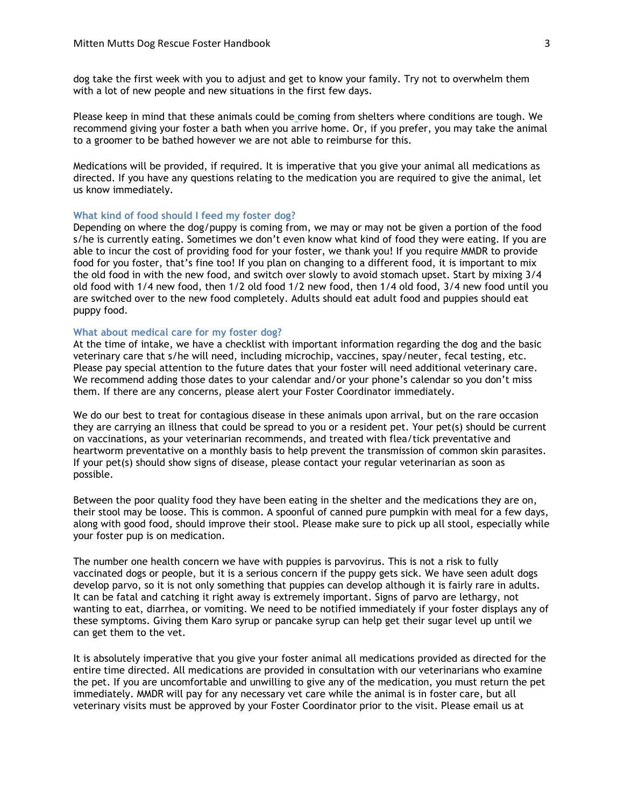dog take the first week with you to adjust and get to know your family. Try not to overwhelm them with a lot of new people and new situations in the first few days.

Please keep in mind that these animals could be coming from shelters where conditions are tough. We recommend giving your foster a bath when you arrive home. Or, if you prefer, you may take the animal to a groomer to be bathed however we are not able to reimburse for this.

Medications will be provided, if required. It is imperative that you give your animal all medications as directed. If you have any questions relating to the medication you are required to give the animal, let us know immediately.

# **What kind of food should I feed my foster dog?**

Depending on where the dog/puppy is coming from, we may or may not be given a portion of the food s/he is currently eating. Sometimes we don't even know what kind of food they were eating. If you are able to incur the cost of providing food for your foster, we thank you! If you require MMDR to provide food for you foster, that's fine too! If you plan on changing to a different food, it is important to mix the old food in with the new food, and switch over slowly to avoid stomach upset. Start by mixing 3/4 old food with 1/4 new food, then 1/2 old food 1/2 new food, then 1/4 old food, 3/4 new food until you are switched over to the new food completely. Adults should eat adult food and puppies should eat puppy food.

#### **What about medical care for my foster dog?**

At the time of intake, we have a checklist with important information regarding the dog and the basic veterinary care that s/he will need, including microchip, vaccines, spay/neuter, fecal testing, etc. Please pay special attention to the future dates that your foster will need additional veterinary care. We recommend adding those dates to your calendar and/or your phone's calendar so you don't miss them. If there are any concerns, please alert your Foster Coordinator immediately.

We do our best to treat for contagious disease in these animals upon arrival, but on the rare occasion they are carrying an illness that could be spread to you or a resident pet. Your pet(s) should be current on vaccinations, as your veterinarian recommends, and treated with flea/tick preventative and heartworm preventative on a monthly basis to help prevent the transmission of common skin parasites. If your pet(s) should show signs of disease, please contact your regular veterinarian as soon as possible.

Between the poor quality food they have been eating in the shelter and the medications they are on, their stool may be loose. This is common. A spoonful of canned pure pumpkin with meal for a few days, along with good food, should improve their stool. Please make sure to pick up all stool, especially while your foster pup is on medication.

The number one health concern we have with puppies is parvovirus. This is not a risk to fully vaccinated dogs or people, but it is a serious concern if the puppy gets sick. We have seen adult dogs develop parvo, so it is not only something that puppies can develop although it is fairly rare in adults. It can be fatal and catching it right away is extremely important. Signs of parvo are lethargy, not wanting to eat, diarrhea, or vomiting. We need to be notified immediately if your foster displays any of these symptoms. Giving them Karo syrup or pancake syrup can help get their sugar level up until we can get them to the vet.

It is absolutely imperative that you give your foster animal all medications provided as directed for the entire time directed. All medications are provided in consultation with our veterinarians who examine the pet. If you are uncomfortable and unwilling to give any of the medication, you must return the pet immediately. MMDR will pay for any necessary vet care while the animal is in foster care, but all veterinary visits must be approved by your Foster Coordinator prior to the visit. Please email us at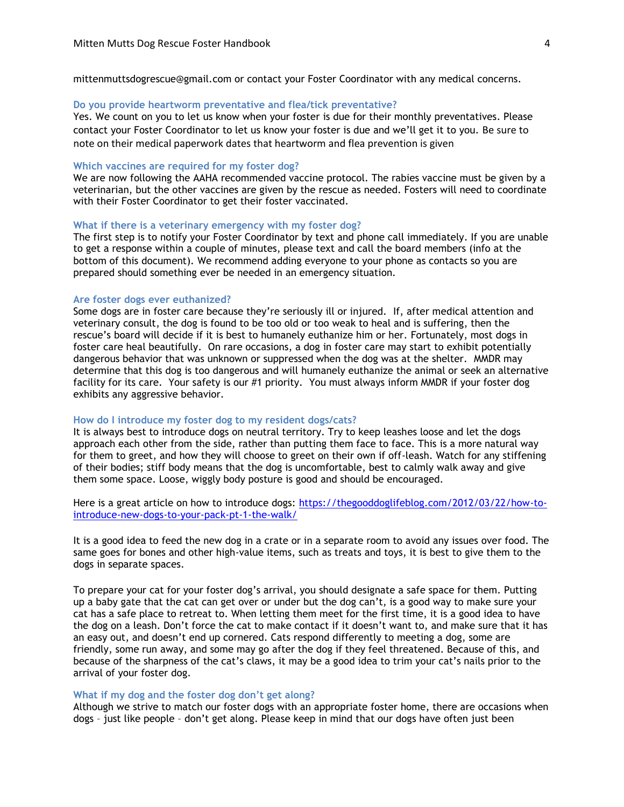mittenmuttsdogrescue@gmail.com or contact your Foster Coordinator with any medical concerns.

### **Do you provide heartworm preventative and flea/tick preventative?**

Yes. We count on you to let us know when your foster is due for their monthly preventatives. Please contact your Foster Coordinator to let us know your foster is due and we'll get it to you. Be sure to note on their medical paperwork dates that heartworm and flea prevention is given

#### **Which vaccines are required for my foster dog?**

We are now following the AAHA recommended vaccine protocol. The rabies vaccine must be given by a veterinarian, but the other vaccines are given by the rescue as needed. Fosters will need to coordinate with their Foster Coordinator to get their foster vaccinated.

#### **What if there is a veterinary emergency with my foster dog?**

The first step is to notify your Foster Coordinator by text and phone call immediately. If you are unable to get a response within a couple of minutes, please text and call the board members (info at the bottom of this document). We recommend adding everyone to your phone as contacts so you are prepared should something ever be needed in an emergency situation.

#### **Are foster dogs ever euthanized?**

Some dogs are in foster care because they're seriously ill or injured. If, after medical attention and veterinary consult, the dog is found to be too old or too weak to heal and is suffering, then the rescue's board will decide if it is best to humanely euthanize him or her. Fortunately, most dogs in foster care heal beautifully. On rare occasions, a dog in foster care may start to exhibit potentially dangerous behavior that was unknown or suppressed when the dog was at the shelter. MMDR may determine that this dog is too dangerous and will humanely euthanize the animal or seek an alternative facility for its care. Your safety is our #1 priority. You must always inform MMDR if your foster dog exhibits any aggressive behavior.

## **How do I introduce my foster dog to my resident dogs/cats?**

It is always best to introduce dogs on neutral territory. Try to keep leashes loose and let the dogs approach each other from the side, rather than putting them face to face. This is a more natural way for them to greet, and how they will choose to greet on their own if off-leash. Watch for any stiffening of their bodies; stiff body means that the dog is uncomfortable, best to calmly walk away and give them some space. Loose, wiggly body posture is good and should be encouraged.

Here is a great article on how to introduce dogs: [https://thegooddoglifeblog.com/2012/03/22/how-to](https://thegooddoglifeblog.com/2012/03/22/how-to-introduce-new-dogs-to-your-pack-pt-1-the-walk/)[introduce-new-dogs-to-your-pack-pt-1-the-walk/](https://thegooddoglifeblog.com/2012/03/22/how-to-introduce-new-dogs-to-your-pack-pt-1-the-walk/)

It is a good idea to feed the new dog in a crate or in a separate room to avoid any issues over food. The same goes for bones and other high-value items, such as treats and toys, it is best to give them to the dogs in separate spaces.

To prepare your cat for your foster dog's arrival, you should designate a safe space for them. Putting up a baby gate that the cat can get over or under but the dog can't, is a good way to make sure your cat has a safe place to retreat to. When letting them meet for the first time, it is a good idea to have the dog on a leash. Don't force the cat to make contact if it doesn't want to, and make sure that it has an easy out, and doesn't end up cornered. Cats respond differently to meeting a dog, some are friendly, some run away, and some may go after the dog if they feel threatened. Because of this, and because of the sharpness of the cat's claws, it may be a good idea to trim your cat's nails prior to the arrival of your foster dog.

### **What if my dog and the foster dog don't get along?**

Although we strive to match our foster dogs with an appropriate foster home, there are occasions when dogs – just like people – don't get along. Please keep in mind that our dogs have often just been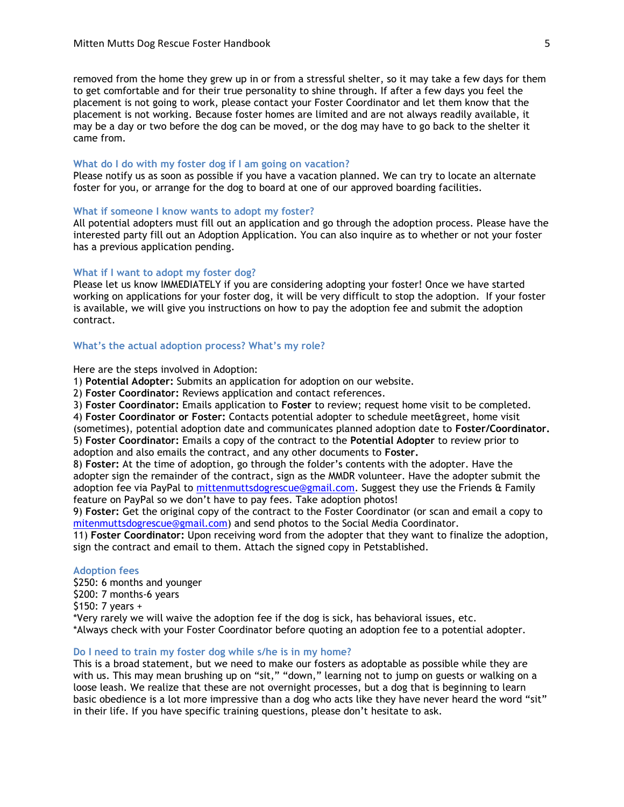removed from the home they grew up in or from a stressful shelter, so it may take a few days for them to get comfortable and for their true personality to shine through. If after a few days you feel the placement is not going to work, please contact your Foster Coordinator and let them know that the placement is not working. Because foster homes are limited and are not always readily available, it may be a day or two before the dog can be moved, or the dog may have to go back to the shelter it came from.

#### **What do I do with my foster dog if I am going on vacation?**

Please notify us as soon as possible if you have a vacation planned. We can try to locate an alternate foster for you, or arrange for the dog to board at one of our approved boarding facilities.

#### **What if someone I know wants to adopt my foster?**

All potential adopters must fill out an application and go through the adoption process. Please have the interested party fill out an Adoption Application. You can also inquire as to whether or not your foster has a previous application pending.

# **What if I want to adopt my foster dog?**

Please let us know IMMEDIATELY if you are considering adopting your foster! Once we have started working on applications for your foster dog, it will be very difficult to stop the adoption. If your foster is available, we will give you instructions on how to pay the adoption fee and submit the adoption contract.

#### **What's the actual adoption process? What's my role?**

Here are the steps involved in Adoption:

1) **Potential Adopter:** Submits an application for adoption on our website.

2) **Foster Coordinator:** Reviews application and contact references.

3) **Foster Coordinator:** Emails application to **Foster** to review; request home visit to be completed.

4) **Foster Coordinator or Foster:** Contacts potential adopter to schedule meet&greet, home visit

(sometimes), potential adoption date and communicates planned adoption date to **Foster/Coordinator.** 5) **Foster Coordinator:** Emails a copy of the contract to the **Potential Adopter** to review prior to

adoption and also emails the contract, and any other documents to **Foster.**

8) **Foster:** At the time of adoption, go through the folder's contents with the adopter. Have the adopter sign the remainder of the contract, sign as the MMDR volunteer. Have the adopter submit the adoption fee via PayPal to [mittenmuttsdogrescue@gmail.com.](mailto:mittenmuttsdogrescue@gmail.com) Suggest they use the Friends & Family feature on PayPal so we don't have to pay fees. Take adoption photos!

9) **Foster:** Get the original copy of the contract to the Foster Coordinator (or scan and email a copy to [mitenmuttsdogrescue@gmail.com\)](mailto:mitenmuttsdogrescue@gmail.com) and send photos to the Social Media Coordinator.

11) **Foster Coordinator:** Upon receiving word from the adopter that they want to finalize the adoption, sign the contract and email to them. Attach the signed copy in Petstablished.

# **Adoption fees**

\$250: 6 months and younger \$200: 7 months-6 years \$150: 7 years + \*Very rarely we will waive the adoption fee if the dog is sick, has behavioral issues, etc. \*Always check with your Foster Coordinator before quoting an adoption fee to a potential adopter.

#### **Do I need to train my foster dog while s/he is in my home?**

This is a broad statement, but we need to make our fosters as adoptable as possible while they are with us. This may mean brushing up on "sit," "down," learning not to jump on guests or walking on a loose leash. We realize that these are not overnight processes, but a dog that is beginning to learn basic obedience is a lot more impressive than a dog who acts like they have never heard the word "sit" in their life. If you have specific training questions, please don't hesitate to ask.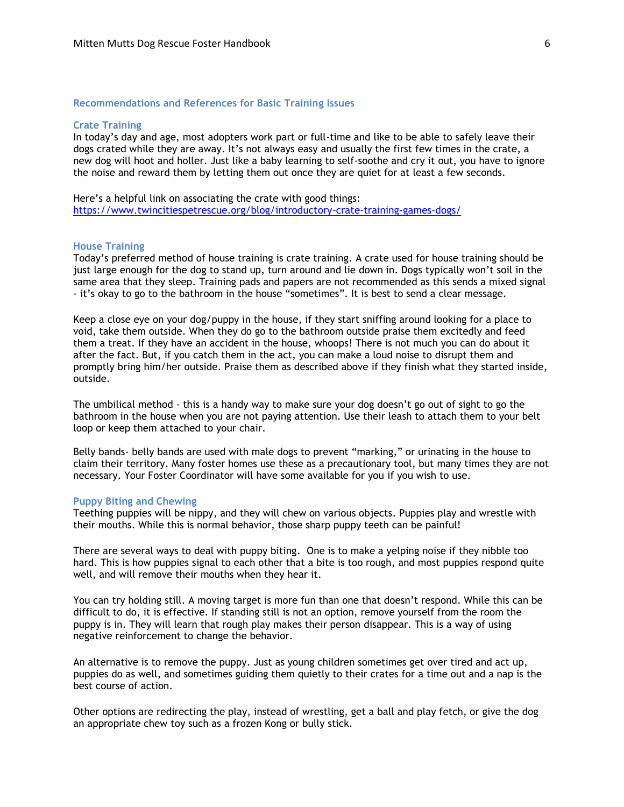## **Recommendations and References for Basic Training Issues**

# **Crate Training**

In today's day and age, most adopters work part or full-time and like to be able to safely leave their dogs crated while they are away. It's not always easy and usually the first few times in the crate, a new dog will hoot and holler. Just like a baby learning to self-soothe and cry it out, you have to ignore the noise and reward them by letting them out once they are quiet for at least a few seconds.

Here's a helpful link on associating the crate with good things: <https://www.twincitiespetrescue.org/blog/introductory-crate-training-games-dogs/>

# **House Training**

Today's preferred method of house training is crate training. A crate used for house training should be just large enough for the dog to stand up, turn around and lie down in. Dogs typically won't soil in the same area that they sleep. Training pads and papers are not recommended as this sends a mixed signal - it's okay to go to the bathroom in the house "sometimes". It is best to send a clear message.

Keep a close eye on your dog/puppy in the house, if they start sniffing around looking for a place to void, take them outside. When they do go to the bathroom outside praise them excitedly and feed them a treat. If they have an accident in the house, whoops! There is not much you can do about it after the fact. But, if you catch them in the act, you can make a loud noise to disrupt them and promptly bring him/her outside. Praise them as described above if they finish what they started inside, outside.

The umbilical method - this is a handy way to make sure your dog doesn't go out of sight to go the bathroom in the house when you are not paying attention. Use their leash to attach them to your belt loop or keep them attached to your chair.

Belly bands- belly bands are used with male dogs to prevent "marking," or urinating in the house to claim their territory. Many foster homes use these as a precautionary tool, but many times they are not necessary. Your Foster Coordinator will have some available for you if you wish to use.

#### **Puppy Biting and Chewing**

Teething puppies will be nippy, and they will chew on various objects. Puppies play and wrestle with their mouths. While this is normal behavior, those sharp puppy teeth can be painful!

There are several ways to deal with puppy biting. One is to make a yelping noise if they nibble too hard. This is how puppies signal to each other that a bite is too rough, and most puppies respond quite well, and will remove their mouths when they hear it.

You can try holding still. A moving target is more fun than one that doesn't respond. While this can be difficult to do, it is effective. If standing still is not an option, remove yourself from the room the puppy is in. They will learn that rough play makes their person disappear. This is a way of using negative reinforcement to change the behavior.

An alternative is to remove the puppy. Just as young children sometimes get over tired and act up, puppies do as well, and sometimes guiding them quietly to their crates for a time out and a nap is the best course of action.

Other options are redirecting the play, instead of wrestling, get a ball and play fetch, or give the dog an appropriate chew toy such as a frozen Kong or bully stick.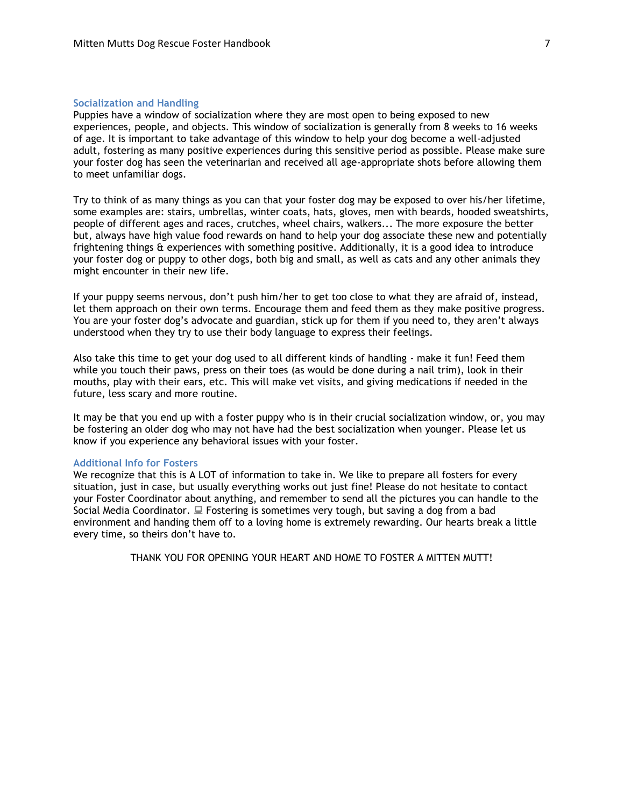## **Socialization and Handling**

Puppies have a window of socialization where they are most open to being exposed to new experiences, people, and objects. This window of socialization is generally from 8 weeks to 16 weeks of age. It is important to take advantage of this window to help your dog become a well-adjusted adult, fostering as many positive experiences during this sensitive period as possible. Please make sure your foster dog has seen the veterinarian and received all age-appropriate shots before allowing them to meet unfamiliar dogs.

Try to think of as many things as you can that your foster dog may be exposed to over his/her lifetime, some examples are: stairs, umbrellas, winter coats, hats, gloves, men with beards, hooded sweatshirts, people of different ages and races, crutches, wheel chairs, walkers... The more exposure the better but, always have high value food rewards on hand to help your dog associate these new and potentially frightening things & experiences with something positive. Additionally, it is a good idea to introduce your foster dog or puppy to other dogs, both big and small, as well as cats and any other animals they might encounter in their new life.

If your puppy seems nervous, don't push him/her to get too close to what they are afraid of, instead, let them approach on their own terms. Encourage them and feed them as they make positive progress. You are your foster dog's advocate and guardian, stick up for them if you need to, they aren't always understood when they try to use their body language to express their feelings.

Also take this time to get your dog used to all different kinds of handling - make it fun! Feed them while you touch their paws, press on their toes (as would be done during a nail trim), look in their mouths, play with their ears, etc. This will make vet visits, and giving medications if needed in the future, less scary and more routine.

It may be that you end up with a foster puppy who is in their crucial socialization window, or, you may be fostering an older dog who may not have had the best socialization when younger. Please let us know if you experience any behavioral issues with your foster.

#### **Additional Info for Fosters**

We recognize that this is A LOT of information to take in. We like to prepare all fosters for every situation, just in case, but usually everything works out just fine! Please do not hesitate to contact your Foster Coordinator about anything, and remember to send all the pictures you can handle to the Social Media Coordinator.  $\Box$  Fostering is sometimes very tough, but saving a dog from a bad environment and handing them off to a loving home is extremely rewarding. Our hearts break a little every time, so theirs don't have to.

THANK YOU FOR OPENING YOUR HEART AND HOME TO FOSTER A MITTEN MUTT!